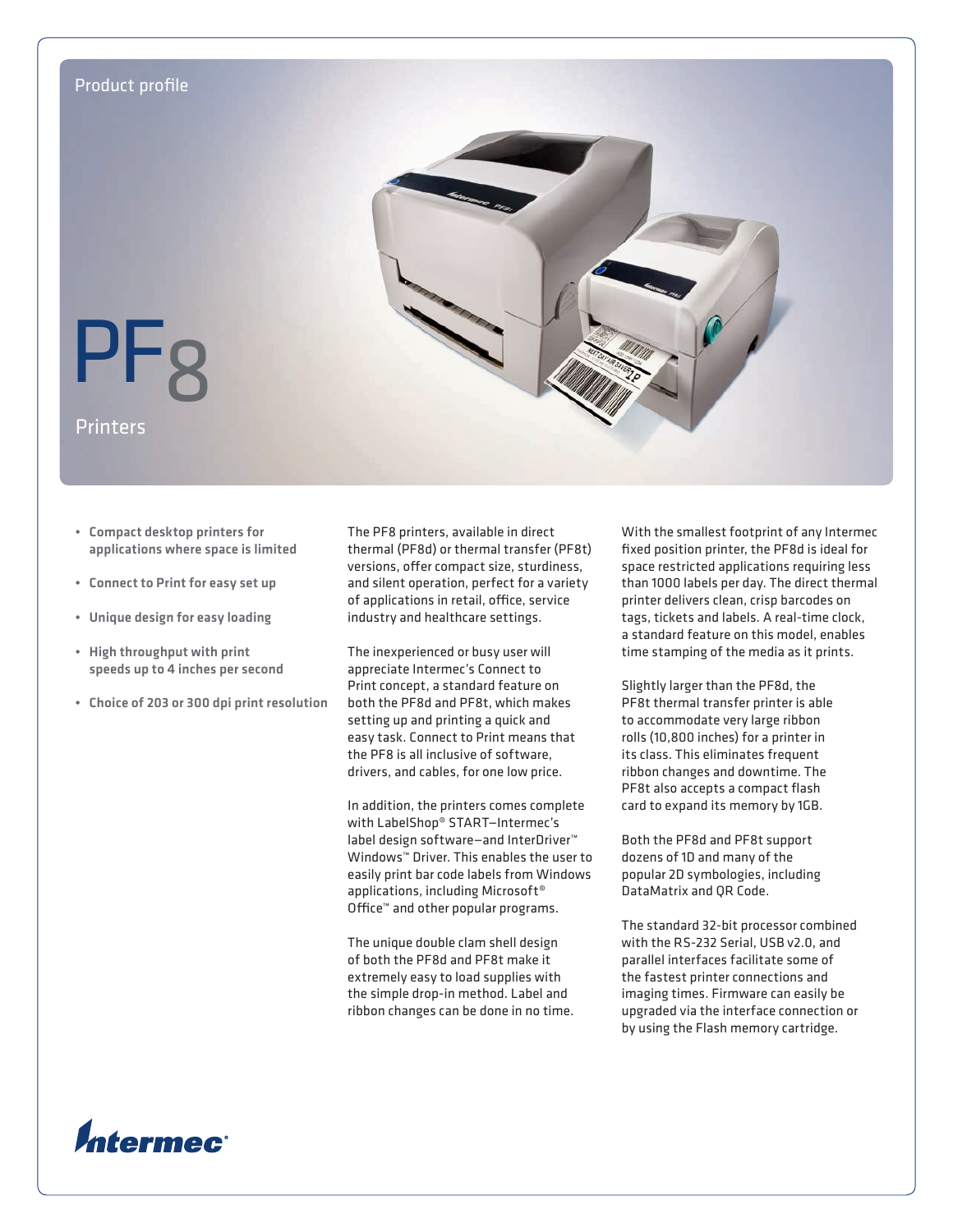

- • Compact desktop printers for applications where space is limited
- • Connect to Print for easy set up
- • Unique design for easy loading
- • High throughput with print speeds up to 4 inches per second
- • Choice of 203 or 300 dpi print resolution

The PF8 printers, available in direct thermal (PF8d) or thermal transfer (PF8t) versions, offer compact size, sturdiness, and silent operation, perfect for a variety of applications in retail, office, service industry and healthcare settings.

The inexperienced or busy user will appreciate Intermec's Connect to Print concept, a standard feature on both the PF8d and PF8t, which makes setting up and printing a quick and easy task. Connect to Print means that the PF8 is all inclusive of software, drivers, and cables, for one low price.

In addition, the printers comes complete with LabelShop® START—Intermec's label design software—and InterDriver™ Windows™ Driver. This enables the user to easily print bar code labels from Windows applications, including Microsoft® Office™ and other popular programs.

The unique double clam shell design of both the PF8d and PF8t make it extremely easy to load supplies with the simple drop-in method. Label and ribbon changes can be done in no time. With the smallest footprint of any Intermec fixed position printer, the PF8d is ideal for space restricted applications requiring less than 1000 labels per day. The direct thermal printer delivers clean, crisp barcodes on tags, tickets and labels. A real-time clock, a standard feature on this model, enables time stamping of the media as it prints.

Slightly larger than the PF8d, the PF8t thermal transfer printer is able to accommodate very large ribbon rolls (10,800 inches) for a printer in its class. This eliminates frequent ribbon changes and downtime. The PF8t also accepts a compact flash card to expand its memory by 1GB.

Both the PF8d and PF8t support dozens of 1D and many of the popular 2D symbologies, including DataMatrix and QR Code.

The standard 32-bit processor combined with the RS-232 Serial, USB v2.0, and parallel interfaces facilitate some of the fastest printer connections and imaging times. Firmware can easily be upgraded via the interface connection or by using the Flash memory cartridge.